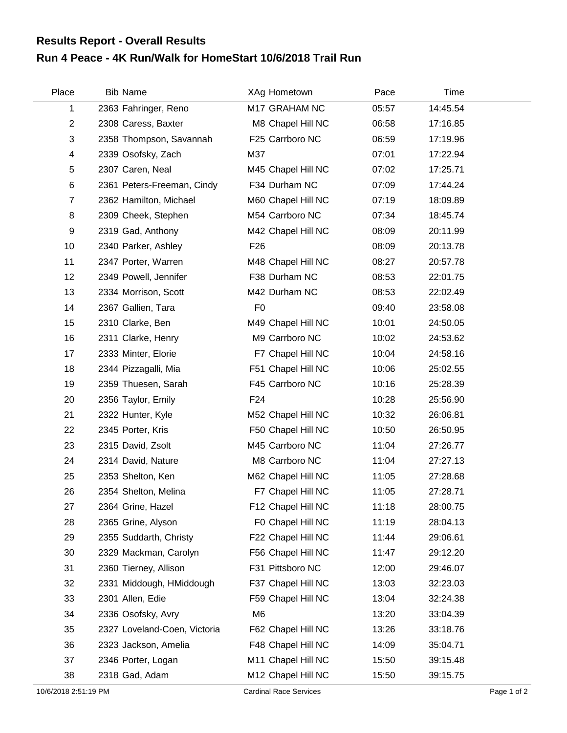## **Run 4 Peace - 4K Run/Walk for HomeStart 10/6/2018 Trail Run Results Report - Overall Results**

| Place          | <b>Bib Name</b>              | XAg Hometown       | Pace  | Time     |  |
|----------------|------------------------------|--------------------|-------|----------|--|
| 1              | 2363 Fahringer, Reno         | M17 GRAHAM NC      | 05:57 | 14:45.54 |  |
| $\overline{2}$ | 2308 Caress, Baxter          | M8 Chapel Hill NC  | 06:58 | 17:16.85 |  |
| 3              | 2358 Thompson, Savannah      | F25 Carrboro NC    | 06:59 | 17:19.96 |  |
| 4              | 2339 Osofsky, Zach           | M37                | 07:01 | 17:22.94 |  |
| 5              | 2307 Caren, Neal             | M45 Chapel Hill NC | 07:02 | 17:25.71 |  |
| 6              | 2361 Peters-Freeman, Cindy   | F34 Durham NC      | 07:09 | 17:44.24 |  |
| $\overline{7}$ | 2362 Hamilton, Michael       | M60 Chapel Hill NC | 07:19 | 18:09.89 |  |
| 8              | 2309 Cheek, Stephen          | M54 Carrboro NC    | 07:34 | 18:45.74 |  |
| 9              | 2319 Gad, Anthony            | M42 Chapel Hill NC | 08:09 | 20:11.99 |  |
| 10             | 2340 Parker, Ashley          | F <sub>26</sub>    | 08:09 | 20:13.78 |  |
| 11             | 2347 Porter, Warren          | M48 Chapel Hill NC | 08:27 | 20:57.78 |  |
| 12             | 2349 Powell, Jennifer        | F38 Durham NC      | 08:53 | 22:01.75 |  |
| 13             | 2334 Morrison, Scott         | M42 Durham NC      | 08:53 | 22:02.49 |  |
| 14             | 2367 Gallien, Tara           | F <sub>0</sub>     | 09:40 | 23:58.08 |  |
| 15             | 2310 Clarke, Ben             | M49 Chapel Hill NC | 10:01 | 24:50.05 |  |
| 16             | 2311 Clarke, Henry           | M9 Carrboro NC     | 10:02 | 24:53.62 |  |
| 17             | 2333 Minter, Elorie          | F7 Chapel Hill NC  | 10:04 | 24:58.16 |  |
| 18             | 2344 Pizzagalli, Mia         | F51 Chapel Hill NC | 10:06 | 25:02.55 |  |
| 19             | 2359 Thuesen, Sarah          | F45 Carrboro NC    | 10:16 | 25:28.39 |  |
| 20             | 2356 Taylor, Emily           | F <sub>24</sub>    | 10:28 | 25:56.90 |  |
| 21             | 2322 Hunter, Kyle            | M52 Chapel Hill NC | 10:32 | 26:06.81 |  |
| 22             | 2345 Porter, Kris            | F50 Chapel Hill NC | 10:50 | 26:50.95 |  |
| 23             | 2315 David, Zsolt            | M45 Carrboro NC    | 11:04 | 27:26.77 |  |
| 24             | 2314 David, Nature           | M8 Carrboro NC     | 11:04 | 27:27.13 |  |
| 25             | 2353 Shelton, Ken            | M62 Chapel Hill NC | 11:05 | 27:28.68 |  |
| 26             | 2354 Shelton, Melina         | F7 Chapel Hill NC  | 11:05 | 27:28.71 |  |
| 27             | 2364 Grine, Hazel            | F12 Chapel Hill NC | 11:18 | 28:00.75 |  |
| 28             | 2365 Grine, Alyson           | F0 Chapel Hill NC  | 11:19 | 28:04.13 |  |
| 29             | 2355 Suddarth, Christy       | F22 Chapel Hill NC | 11:44 | 29:06.61 |  |
| 30             | 2329 Mackman, Carolyn        | F56 Chapel Hill NC | 11:47 | 29:12.20 |  |
| 31             | 2360 Tierney, Allison        | F31 Pittsboro NC   | 12:00 | 29:46.07 |  |
| 32             | 2331 Middough, HMiddough     | F37 Chapel Hill NC | 13:03 | 32:23.03 |  |
| 33             | 2301 Allen, Edie             | F59 Chapel Hill NC | 13:04 | 32:24.38 |  |
| 34             | 2336 Osofsky, Avry           | M <sub>6</sub>     | 13:20 | 33:04.39 |  |
| 35             | 2327 Loveland-Coen, Victoria | F62 Chapel Hill NC | 13:26 | 33:18.76 |  |
| 36             | 2323 Jackson, Amelia         | F48 Chapel Hill NC | 14:09 | 35:04.71 |  |
| 37             | 2346 Porter, Logan           | M11 Chapel Hill NC | 15:50 | 39:15.48 |  |
| 38             | 2318 Gad, Adam               | M12 Chapel Hill NC | 15:50 | 39:15.75 |  |